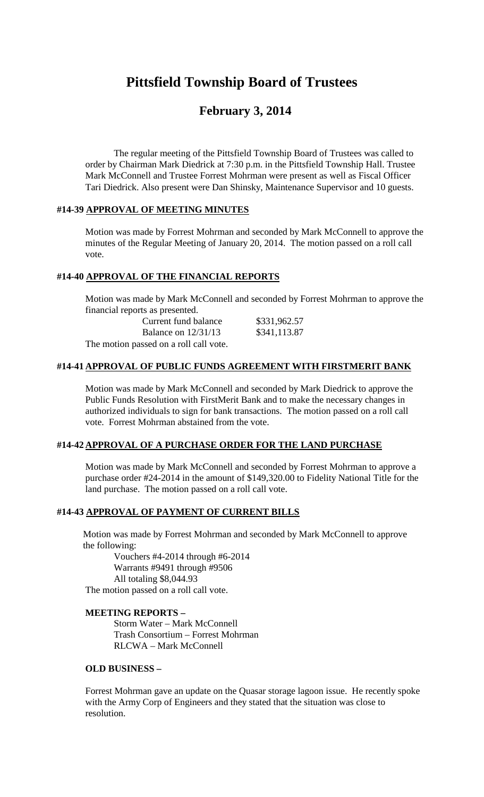# **Pittsfield Township Board of Trustees**

# **February 3, 2014**

The regular meeting of the Pittsfield Township Board of Trustees was called to order by Chairman Mark Diedrick at 7:30 p.m. in the Pittsfield Township Hall. Trustee Mark McConnell and Trustee Forrest Mohrman were present as well as Fiscal Officer Tari Diedrick. Also present were Dan Shinsky, Maintenance Supervisor and 10 guests.

#### **#14-39 APPROVAL OF MEETING MINUTES**

Motion was made by Forrest Mohrman and seconded by Mark McConnell to approve the minutes of the Regular Meeting of January 20, 2014. The motion passed on a roll call vote.

# **#14-40 APPROVAL OF THE FINANCIAL REPORTS**

Motion was made by Mark McConnell and seconded by Forrest Mohrman to approve the financial reports as presented.

| Current fund balance                   | \$331,962.57 |
|----------------------------------------|--------------|
| Balance on $12/31/13$                  | \$341,113.87 |
| The motion passed on a roll call vote. |              |

# **#14-41 APPROVAL OF PUBLIC FUNDS AGREEMENT WITH FIRSTMERIT BANK**

Motion was made by Mark McConnell and seconded by Mark Diedrick to approve the Public Funds Resolution with FirstMerit Bank and to make the necessary changes in authorized individuals to sign for bank transactions. The motion passed on a roll call vote. Forrest Mohrman abstained from the vote.

#### **#14-42 APPROVAL OF A PURCHASE ORDER FOR THE LAND PURCHASE**

Motion was made by Mark McConnell and seconded by Forrest Mohrman to approve a purchase order #24-2014 in the amount of \$149,320.00 to Fidelity National Title for the land purchase. The motion passed on a roll call vote.

#### **#14-43 APPROVAL OF PAYMENT OF CURRENT BILLS**

Motion was made by Forrest Mohrman and seconded by Mark McConnell to approve the following:

Vouchers #4-2014 through #6-2014 Warrants #9491 through #9506 All totaling \$8,044.93 The motion passed on a roll call vote.

# **MEETING REPORTS –**

Storm Water – Mark McConnell Trash Consortium – Forrest Mohrman RLCWA – Mark McConnell

#### **OLD BUSINESS –**

Forrest Mohrman gave an update on the Quasar storage lagoon issue. He recently spoke with the Army Corp of Engineers and they stated that the situation was close to resolution.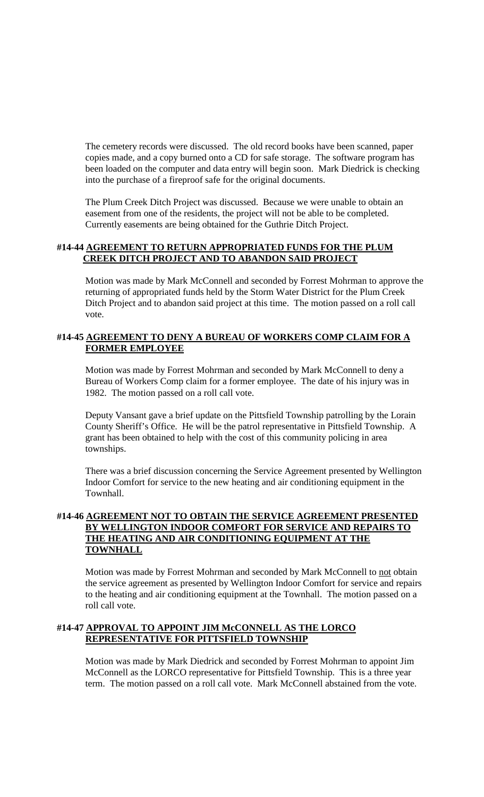The cemetery records were discussed. The old record books have been scanned, paper copies made, and a copy burned onto a CD for safe storage. The software program has been loaded on the computer and data entry will begin soon. Mark Diedrick is checking into the purchase of a fireproof safe for the original documents.

The Plum Creek Ditch Project was discussed. Because we were unable to obtain an easement from one of the residents, the project will not be able to be completed. Currently easements are being obtained for the Guthrie Ditch Project.

### **#14-44 AGREEMENT TO RETURN APPROPRIATED FUNDS FOR THE PLUM CREEK DITCH PROJECT AND TO ABANDON SAID PROJECT**

Motion was made by Mark McConnell and seconded by Forrest Mohrman to approve the returning of appropriated funds held by the Storm Water District for the Plum Creek Ditch Project and to abandon said project at this time. The motion passed on a roll call vote.

# **#14-45 AGREEMENT TO DENY A BUREAU OF WORKERS COMP CLAIM FOR A FORMER EMPLOYEE**

Motion was made by Forrest Mohrman and seconded by Mark McConnell to deny a Bureau of Workers Comp claim for a former employee. The date of his injury was in 1982. The motion passed on a roll call vote.

Deputy Vansant gave a brief update on the Pittsfield Township patrolling by the Lorain County Sheriff's Office. He will be the patrol representative in Pittsfield Township. A grant has been obtained to help with the cost of this community policing in area townships.

There was a brief discussion concerning the Service Agreement presented by Wellington Indoor Comfort for service to the new heating and air conditioning equipment in the Townhall.

# **#14-46 AGREEMENT NOT TO OBTAIN THE SERVICE AGREEMENT PRESENTED BY WELLINGTON INDOOR COMFORT FOR SERVICE AND REPAIRS TO THE HEATING AND AIR CONDITIONING EQUIPMENT AT THE TOWNHALL**

Motion was made by Forrest Mohrman and seconded by Mark McConnell to not obtain the service agreement as presented by Wellington Indoor Comfort for service and repairs to the heating and air conditioning equipment at the Townhall. The motion passed on a roll call vote.

# **#14-47 APPROVAL TO APPOINT JIM McCONNELL AS THE LORCO REPRESENTATIVE FOR PITTSFIELD TOWNSHIP**

Motion was made by Mark Diedrick and seconded by Forrest Mohrman to appoint Jim McConnell as the LORCO representative for Pittsfield Township. This is a three year term. The motion passed on a roll call vote. Mark McConnell abstained from the vote.